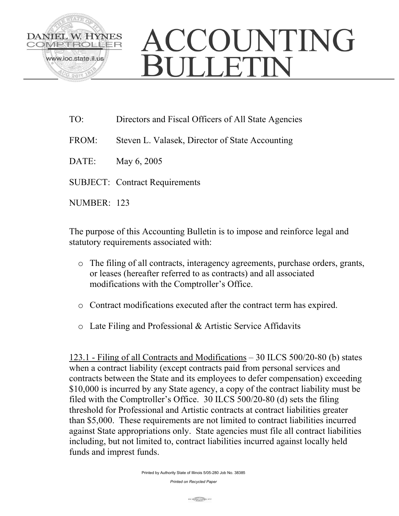

## ACCOUNTING **OF JETIN**

- TO: Directors and Fiscal Officers of All State Agencies
- FROM: Steven L. Valasek, Director of State Accounting
- DATE: May 6, 2005
- SUBJECT: Contract Requirements
- NUMBER: 123

The purpose of this Accounting Bulletin is to impose and reinforce legal and statutory requirements associated with:

- o The filing of all contracts, interagency agreements, purchase orders, grants, or leases (hereafter referred to as contracts) and all associated modifications with the Comptroller's Office.
- o Contract modifications executed after the contract term has expired.
- o Late Filing and Professional & Artistic Service Affidavits

123.1 - Filing of all Contracts and Modifications – 30 ILCS 500/20-80 (b) states when a contract liability (except contracts paid from personal services and contracts between the State and its employees to defer compensation) exceeding \$10,000 is incurred by any State agency, a copy of the contract liability must be filed with the Comptroller's Office. 30 ILCS 500/20-80 (d) sets the filing threshold for Professional and Artistic contracts at contract liabilities greater than \$5,000. These requirements are not limited to contract liabilities incurred against State appropriations only. State agencies must file all contract liabilities including, but not limited to, contract liabilities incurred against locally held funds and imprest funds.

Printed by Authority State of Illinois 5/05-280 Job No. 38385

*Printed on Recycled Paper*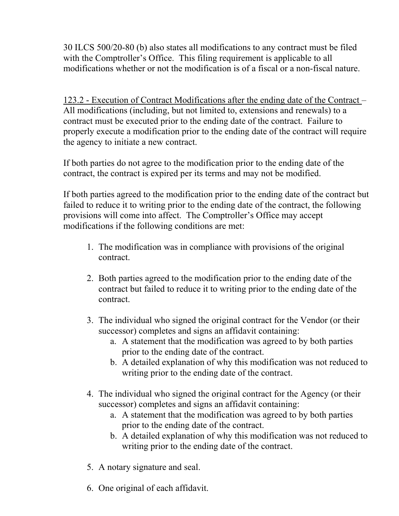30 ILCS 500/20-80 (b) also states all modifications to any contract must be filed with the Comptroller's Office. This filing requirement is applicable to all modifications whether or not the modification is of a fiscal or a non-fiscal nature.

123.2 - Execution of Contract Modifications after the ending date of the Contract – All modifications (including, but not limited to, extensions and renewals) to a contract must be executed prior to the ending date of the contract. Failure to properly execute a modification prior to the ending date of the contract will require the agency to initiate a new contract.

If both parties do not agree to the modification prior to the ending date of the contract, the contract is expired per its terms and may not be modified.

If both parties agreed to the modification prior to the ending date of the contract but failed to reduce it to writing prior to the ending date of the contract, the following provisions will come into affect. The Comptroller's Office may accept modifications if the following conditions are met:

- 1. The modification was in compliance with provisions of the original contract.
- 2. Both parties agreed to the modification prior to the ending date of the contract but failed to reduce it to writing prior to the ending date of the contract.
- 3. The individual who signed the original contract for the Vendor (or their successor) completes and signs an affidavit containing:
	- a. A statement that the modification was agreed to by both parties prior to the ending date of the contract.
	- b. A detailed explanation of why this modification was not reduced to writing prior to the ending date of the contract.
- 4. The individual who signed the original contract for the Agency (or their successor) completes and signs an affidavit containing:
	- a. A statement that the modification was agreed to by both parties prior to the ending date of the contract.
	- b. A detailed explanation of why this modification was not reduced to writing prior to the ending date of the contract.
- 5. A notary signature and seal.
- 6. One original of each affidavit.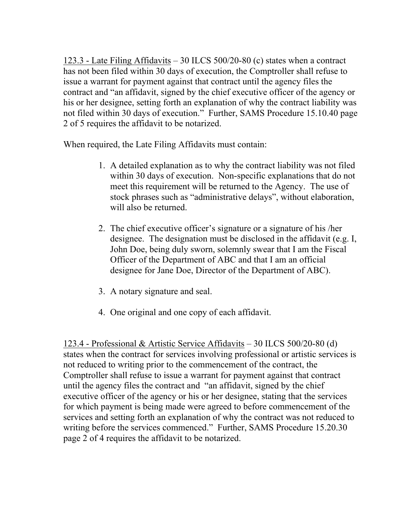123.3 - Late Filing Affidavits – 30 ILCS 500/20-80 (c) states when a contract has not been filed within 30 days of execution, the Comptroller shall refuse to issue a warrant for payment against that contract until the agency files the contract and "an affidavit, signed by the chief executive officer of the agency or his or her designee, setting forth an explanation of why the contract liability was not filed within 30 days of execution." Further, SAMS Procedure 15.10.40 page 2 of 5 requires the affidavit to be notarized.

When required, the Late Filing Affidavits must contain:

- 1. A detailed explanation as to why the contract liability was not filed within 30 days of execution. Non-specific explanations that do not meet this requirement will be returned to the Agency. The use of stock phrases such as "administrative delays", without elaboration, will also be returned.
- 2. The chief executive officer's signature or a signature of his /her designee. The designation must be disclosed in the affidavit (e.g. I, John Doe, being duly sworn, solemnly swear that I am the Fiscal Officer of the Department of ABC and that I am an official designee for Jane Doe, Director of the Department of ABC).
- 3. A notary signature and seal.
- 4. One original and one copy of each affidavit.

123.4 - Professional & Artistic Service Affidavits – 30 ILCS 500/20-80 (d) states when the contract for services involving professional or artistic services is not reduced to writing prior to the commencement of the contract, the Comptroller shall refuse to issue a warrant for payment against that contract until the agency files the contract and "an affidavit, signed by the chief executive officer of the agency or his or her designee, stating that the services for which payment is being made were agreed to before commencement of the services and setting forth an explanation of why the contract was not reduced to writing before the services commenced." Further, SAMS Procedure 15.20.30 page 2 of 4 requires the affidavit to be notarized.